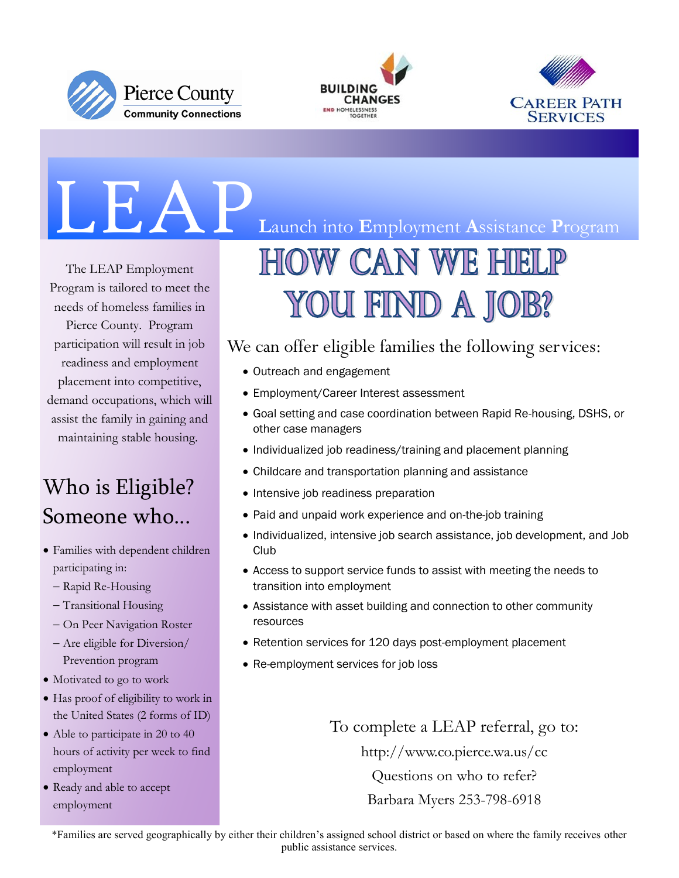





## THE REAP Employment **Launch into Employment Assistance Program** The LEAP Employment Program is tailored to meet the needs of homeless families in

Pierce County. Program participation will result in job readiness and employment placement into competitive, demand occupations, which will assist the family in gaining and maintaining stable housing.

### Who is Eligible? Someone who...

- Families with dependent children participating in:
	- Rapid Re-Housing
	- Transitional Housing
	- On Peer Navigation Roster
	- Are eligible for Diversion/ Prevention program
- Motivated to go to work
- Has proof of eligibility to work in the United States (2 forms of ID)
- Able to participate in 20 to 40 hours of activity per week to find employment
- Ready and able to accept employment

# YOU FIND A JOB?

#### We can offer eligible families the following services:

- Outreach and engagement
- Employment/Career Interest assessment
- Goal setting and case coordination between Rapid Re-housing, DSHS, or other case managers
- Individualized job readiness/training and placement planning
- Childcare and transportation planning and assistance
- Intensive job readiness preparation
- Paid and unpaid work experience and on-the-job training
- Individualized, intensive job search assistance, job development, and Job **Club**
- Access to support service funds to assist with meeting the needs to transition into employment
- Assistance with asset building and connection to other community resources
- Retention services for 120 days post-employment placement
- Re-employment services for job loss

To complete a LEAP referral, go to: http://www.co.pierce.wa.us/cc Questions on who to refer? Barbara Myers 253-798-6918

\*Families are served geographically by either their children's assigned school district or based on where the family receives other public assistance services.